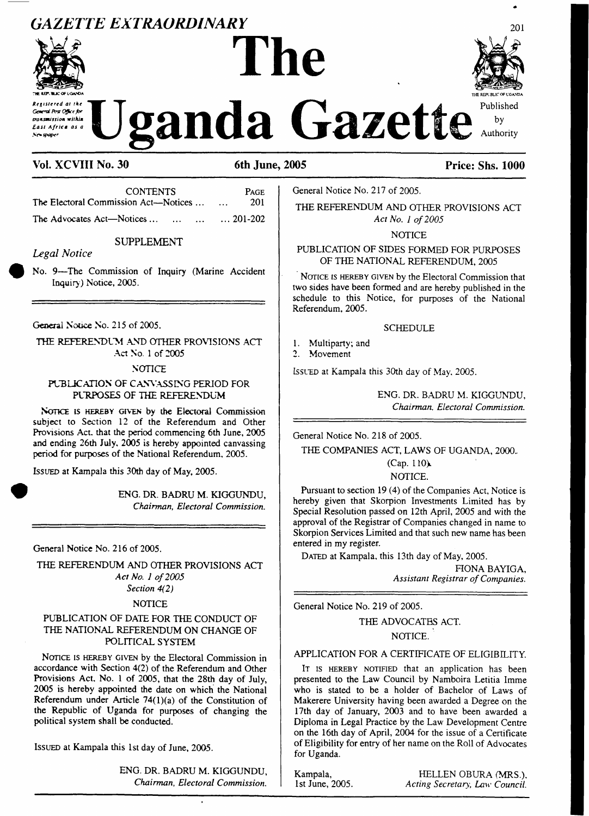# *GAZETTE EXTRAORDINARY*



transmission within East Africa as a

**The** *Const Program* at the Uganda Gazette Published



Authority

by

# **Vol. XCVIII No. 30 6th June, 2005 Price: Shs. 1000**

| <b>CONTENTS</b>                      | <b>PAGE</b>         |
|--------------------------------------|---------------------|
| The Electoral Commission Act—Notices | 201<br>$\mathbf{r}$ |
| The Advocates Act—Notices            | $\dots$ 201-202     |

SUPPLEMENT

#### *Legal Notice*

No. 9—The Commission of Inquiry (Marine Accident Inquiry ) Notice, 2005.

General Notice No. 215 of 2005.

THE REFERENDUM AND OTHER PROVISIONS ACT Act No. <sup>1</sup> of 2005

**NOTICE** 

#### PUBLICATION OF CANVASSING PERIOD FOR PURPOSES OF THE REFERENDUM

NOTICE IS HEREBY GIVEN by the Electoral Commission subject to Section 12 of the Referendum and Other Provisions Act, that the period commencing 6th June, 2005 and ending 26th July, 2005 is hereby appointed canvassing period for purposes of the National Referendum, 2005.

Issued at Kampala this 30th day of May, 2005.

ENG. DR. BADRU M. KIGGUNDU, *Chairman, Electoral Commission.*

General Notice No. 216 of 2005.

THE REFERENDUM AND OTHER PROVISIONS ACT *Act No. <sup>1</sup> of2005 Section 4(2)*

#### **NOTICE**

#### PUBLICATION OF DATE FOR THE CONDUCT OF THE NATIONAL REFERENDUM ON CHANGE OF POLITICAL SYSTEM

NOTICE IS HEREBY GIVEN by the Electoral Commission in accordance with Section 4(2) of the Referendum and Other Provisions Act, No. <sup>1</sup> of 2005, that the 28th day of July, 2005 is hereby appointed the date on which the National Referendum under Article  $74(1)(a)$  of the Constitution of the Republic of Uganda for purposes of changing the political system shall be conducted.

Issued at Kampala this 1st day of June, 2005.

ENG. DR. BADRU M. KIGGUNDU, *Chairman, Electoral Commission.*

General Notice No. 217 of 2005.

THE REFERENDUM AND OTHER PROVISIONS ACT *Act No. <sup>1</sup> of2005*

**NOTICE** 

#### PUBLICATION OF SIDES FORMED FOR PURPOSES OF THE NATIONAL REFERENDUM, 2005

NOTICE IS HEREBY GIVEN by the Electoral Commission that two sides have been formed and are hereby published in the schedule to this Notice, for purposes of the National Referendum, 2005.

#### **SCHEDULE**

- 1. Multiparty; and<br>2. Movement
- Movement

Issued at Kampala this 30th day of May, 2005.

ENG. DR. BADRU M. KIGGUNDU, *Chairman, Electoral Commission.*

General Notice No. 218 of 2005.

THE COMPANIES ACT, LAWS OF UGANDA, 2000..

 $(Cap. 110)$ NOTICE.

Pursuant to section 19 (4) of the Companies Act, Notice is hereby given that Skorpion Investments Limited has by Special Resolution passed on 12th April, 2005 and with the approval of the Registrar of Companies changed in name to Skorpion Services Limited and that such new name has been entered in my register.

DATED at Kampala, this 13th day of May, 2005.

FIONA BAYIGA, *Assistant Registrar ofCompanies.*

General Notice No. 219 of 2005.

# THE ADVOCATES ACT. NOTICE.

### APPLICATION FOR A CERTIFICATE OF ELIGIBILITY.

IT IS HEREBY NOTIFIED that an application has been presented to the Law Council by Namboira Letitia Imme who is stated to be a holder of Bachelor of Laws of Makerere University having been awarded a Degree on the 17th day of January, 2003 and to have been awarded a Diploma in Legal Practice by the Law Development Centre on the 16th day of April, 2004 for the issue of a Certificate of Eligibility for entry of her name on the Roll of Advocates for Uganda.

Kampala, HELLEN OBURA (MRS.).<br>1st June, 2005. *Acting Secretary, Law Council.*  $Acting Secretary, Law Council.$